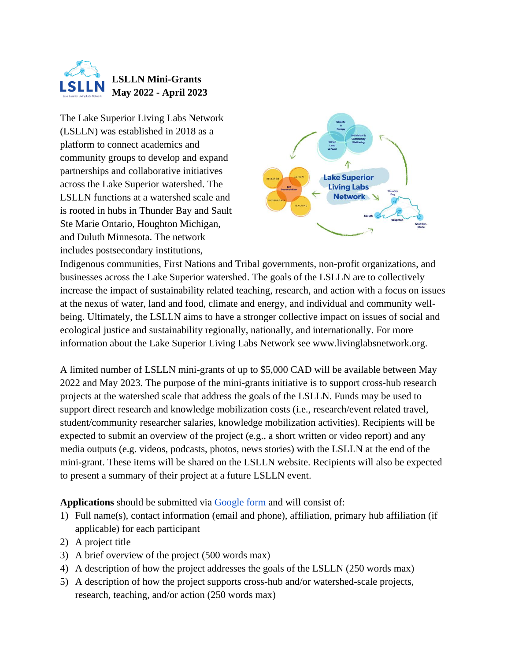

The Lake Superior Living Labs Network (LSLLN) was established in 2018 as a platform to connect academics and community groups to develop and expand partnerships and collaborative initiatives across the Lake Superior watershed. The LSLLN functions at a watershed scale and is rooted in hubs in Thunder Bay and Sault Ste Marie Ontario, Houghton Michigan, and Duluth Minnesota. The network includes postsecondary institutions,



Indigenous communities, First Nations and Tribal governments, non-profit organizations, and businesses across the Lake Superior watershed. The goals of the LSLLN are to collectively increase the impact of sustainability related teaching, research, and action with a focus on issues at the nexus of water, land and food, climate and energy, and individual and community wellbeing. Ultimately, the LSLLN aims to have a stronger collective impact on issues of social and ecological justice and sustainability regionally, nationally, and internationally. For more information about the Lake Superior Living Labs Network see www.livinglabsnetwork.org.

A limited number of LSLLN mini-grants of up to \$5,000 CAD will be available between May 2022 and May 2023. The purpose of the mini-grants initiative is to support cross-hub research projects at the watershed scale that address the goals of the LSLLN. Funds may be used to support direct research and knowledge mobilization costs (i.e., research/event related travel, student/community researcher salaries, knowledge mobilization activities). Recipients will be expected to submit an overview of the project (e.g., a short written or video report) and any media outputs (e.g. videos, podcasts, photos, news stories) with the LSLLN at the end of the mini-grant. These items will be shared on the LSLLN website. Recipients will also be expected to present a summary of their project at a future LSLLN event.

**Applications** should be submitted via [Google form](https://forms.gle/hMfSCT993hzW5N7D7) and will consist of:

- 1) Full name(s), contact information (email and phone), affiliation, primary hub affiliation (if applicable) for each participant
- 2) A project title
- 3) A brief overview of the project (500 words max)
- 4) A description of how the project addresses the goals of the LSLLN (250 words max)
- 5) A description of how the project supports cross-hub and/or watershed-scale projects, research, teaching, and/or action (250 words max)